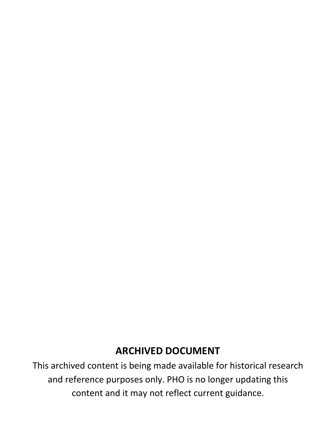# **ARCHIVED DOCUMENT**

This archived content is being made available for historical research and reference purposes only. PHO is no longer updating this content and it may not reflect current guidance.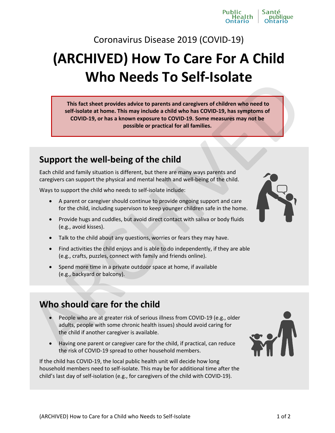Coronavirus Disease 2019 (COVID-19)

# **(Archived) How To Care For A Child Who Needs To Self-Isolate**

**This fact sheet provides advice to parents and caregivers of children who need to self-isolate at home. This may include a child who has COVID-19, has symptoms of COVID-19, or has a known exposure to COVID-19. Some measures may not be possible or practical for all families. This fact sheet provides advice to parents and caregivers of children who need to<br>self-isolate a thome. This may include a child who has COVID-39, has symptoms of<br>cOVID-39, or has a howen exposure to COVID-39. These measu** 

# **Support the well-being of the child**

Each child and family situation is different, but there are many ways parents and caregivers can support the physical and mental health and well-being of the child.

Ways to support the child who needs to self-isolate include:

- A parent or caregiver should continue to provide ongoing support and care for the child, including supervison to keep younger children safe in the home.
- Provide hugs and cuddles, but avoid direct contact with saliva or body fluids (e.g., avoid kisses).
- Talk to the child about any questions, worries or fears they may have.
- Find activities the child enjoys and is able to do independently, if they are able (e.g., crafts, puzzles, connect with family and friends online).
- Spend more time in a private outdoor space at home, if available (e.g., backyard or balcony).

# **Who should care for the child**

- People who are at greater risk of serious illness from COVID-19 (e.g., older adults, people with some chronic health issues) should avoid caring for the child if another caregiver is available.
- Having one parent or caregiver care for the child, if practical, can reduce the risk of COVID-19 spread to other household members.

If the child has COVID-19, the local public health unit will decide how long household members need to self-isolate. This may be for additional time after the child's last day of self-isolation (e.g., for caregivers of the child with COVID-19).